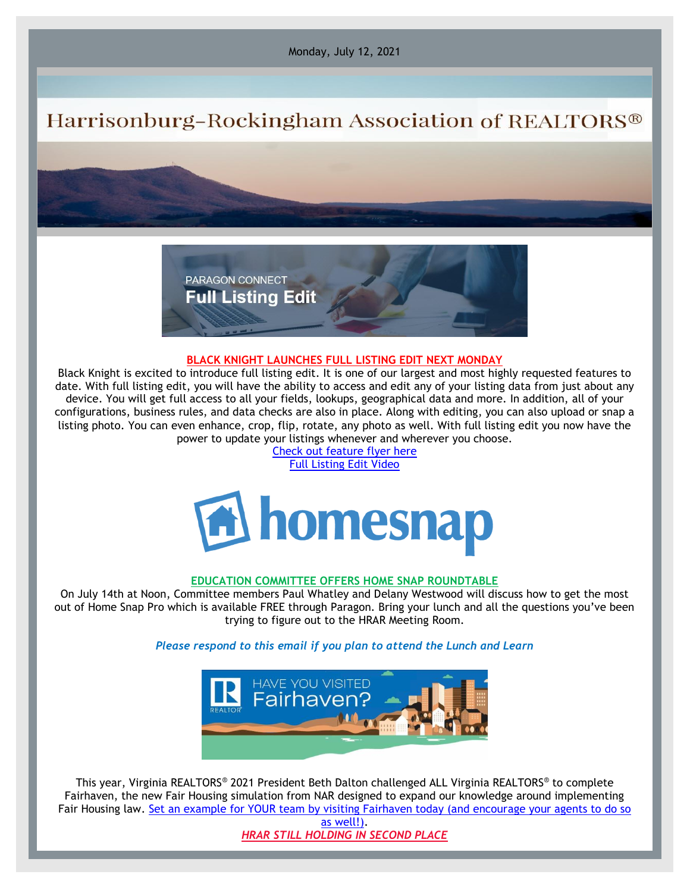Monday, July 12, 2021

# Harrisonburg-Rockingham Association of REALTORS®



### **BLACK KNIGHT LAUNCHES FULL LISTING EDIT NEXT MONDAY**

Black Knight is excited to introduce full listing edit. It is one of our largest and most highly requested features to date. With full listing edit, you will have the ability to access and edit any of your listing data from just about any device. You will get full access to all your fields, lookups, geographical data and more. In addition, all of your configurations, business rules, and data checks are also in place. Along with editing, you can also upload or snap a listing photo. You can even enhance, crop, flip, rotate, any photo as well. With full listing edit you now have the power to update your listings whenever and wherever you choose.

[Check out feature flyer here](https://files.constantcontact.com/917f92b5101/2f010107-6212-4b1e-b67c-1e62b1439b50.pdf) [Full Listing Edit Video](https://vimeo.com/521107377)



### **EDUCATION COMMITTEE OFFERS HOME SNAP ROUNDTABLE**

On July 14th at Noon, Committee members Paul Whatley and Delany Westwood will discuss how to get the most out of Home Snap Pro which is available FREE through Paragon. Bring your lunch and all the questions you've been trying to figure out to the HRAR Meeting Room.

### *Please respond to this email if you plan to attend the Lunch and Learn*



This year, Virginia REALTORS® 2021 President Beth Dalton challenged ALL Virginia REALTORS® to complete Fairhaven, the new Fair Housing simulation from NAR designed to expand our knowledge around implementing Fair Housing law. [Set an example for YOUR team by visiting Fairhaven today \(and encourage your agents to do so](https://elink.clickdimensions.com/c/6/?T=Mzk4NDYwNjU%3AMDItYjIxMTg3LWJkYzY0NWI4NDVjYjQ5MDI4NTA3MWJmMjNlNzNlNGMz%3AYm9iQGhyYXIuY29t%3AY29udGFjdC1mYzZkNjk4ZjdiMjk0ZGY5YmMwOTllOWEzNGUwZGUyNy1lNjNhYWNkYjVhOTI0MTE2YmUxNjRiMzNjNzY2MGVhYw%3AZmFsc2U%3AOQ%3A%3AaHR0cHM6Ly9mYWlyaGF2ZW4ucmVhbHRvci8_X2NsZGVlPVltOWlRR2h5WVhJdVkyOXQmcmVjaXBpZW50aWQ9Y29udGFjdC1mYzZkNjk4ZjdiMjk0ZGY5YmMwOTllOWEzNGUwZGUyNy1lNjNhYWNkYjVhOTI0MTE2YmUxNjRiMzNjNzY2MGVhYyZlc2lkPTFlODgzY2RhLTYzZGUtZWIxMS05YzY2LTAwMTU1ZDAwNzlhMQ&K=IGGOvx0scZfcCsjKFIhYIg)  [as well!\).](https://elink.clickdimensions.com/c/6/?T=Mzk4NDYwNjU%3AMDItYjIxMTg3LWJkYzY0NWI4NDVjYjQ5MDI4NTA3MWJmMjNlNzNlNGMz%3AYm9iQGhyYXIuY29t%3AY29udGFjdC1mYzZkNjk4ZjdiMjk0ZGY5YmMwOTllOWEzNGUwZGUyNy1lNjNhYWNkYjVhOTI0MTE2YmUxNjRiMzNjNzY2MGVhYw%3AZmFsc2U%3AOQ%3A%3AaHR0cHM6Ly9mYWlyaGF2ZW4ucmVhbHRvci8_X2NsZGVlPVltOWlRR2h5WVhJdVkyOXQmcmVjaXBpZW50aWQ9Y29udGFjdC1mYzZkNjk4ZjdiMjk0ZGY5YmMwOTllOWEzNGUwZGUyNy1lNjNhYWNkYjVhOTI0MTE2YmUxNjRiMzNjNzY2MGVhYyZlc2lkPTFlODgzY2RhLTYzZGUtZWIxMS05YzY2LTAwMTU1ZDAwNzlhMQ&K=IGGOvx0scZfcCsjKFIhYIg)

*HRAR STILL HOLDING IN SECOND PLACE*